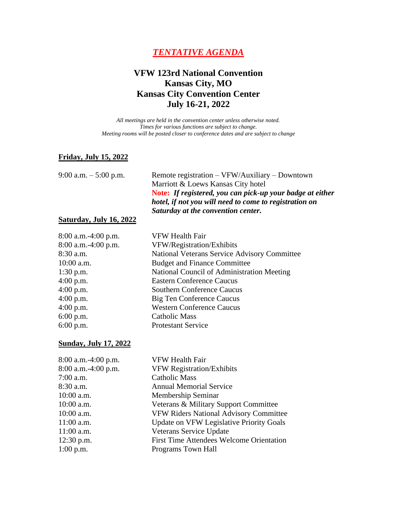# *TENTATIVE AGENDA*

# **VFW 123rd National Convention Kansas City, MO Kansas City Convention Center July 16-21, 2022**

*All meetings are held in the convention center unless otherwise noted. Times for various functions are subject to change. Meeting rooms will be posted closer to conference dates and are subject to change*

#### **Friday, July 15, 2022**

9:00 a.m. – 5:00 p.m. Remote registration – VFW/Auxiliary – Downtown Marriott & Loews Kansas City hotel **Note:** *If registered, you can pick-up your badge at either hotel, if not you will need to come to registration on Saturday at the convention center.*

#### **Saturday, July 16, 2022**

8:00 a.m.-4:00 p.m. VFW Health Fair 8:00 a.m.-4:00 p.m. VFW/Registration/Exhibits 8:30 a.m. National Veterans Service Advisory Committee 10:00 a.m. Budget and Finance Committee 1:30 p.m. National Council of Administration Meeting 4:00 p.m. Eastern Conference Caucus 4:00 p.m. Southern Conference Caucus 4:00 p.m. Big Ten Conference Caucus 4:00 p.m. Western Conference Caucus 6:00 p.m. Catholic Mass 6:00 p.m. Protestant Service

#### **Sunday, July 17, 2022**

| 8:00 a.m.-4:00 p.m.   | <b>VFW Health Fair</b>                          |
|-----------------------|-------------------------------------------------|
| $8:00$ a.m.-4:00 p.m. | <b>VFW Registration/Exhibits</b>                |
| $7:00$ a.m.           | <b>Catholic Mass</b>                            |
| $8:30$ a.m.           | <b>Annual Memorial Service</b>                  |
| $10:00$ a.m.          | Membership Seminar                              |
| $10:00$ a.m.          | Veterans & Military Support Committee           |
| $10:00$ a.m.          | <b>VFW Riders National Advisory Committee</b>   |
| $11:00$ a.m.          | <b>Update on VFW Legislative Priority Goals</b> |
| $11:00$ a.m.          | Veterans Service Update                         |
| $12:30$ p.m.          | <b>First Time Attendees Welcome Orientation</b> |
| $1:00$ p.m.           | Programs Town Hall                              |
|                       |                                                 |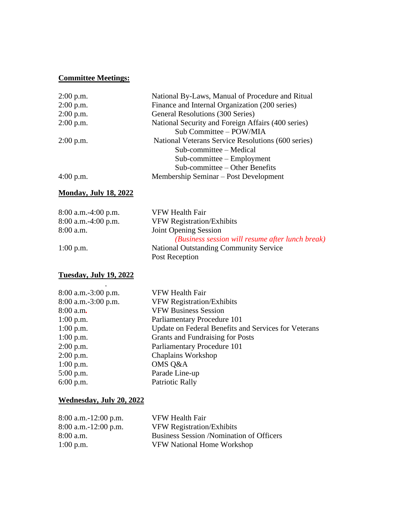### **Committee Meetings:**

| $2:00$ p.m. | National By-Laws, Manual of Procedure and Ritual   |
|-------------|----------------------------------------------------|
| $2:00$ p.m. | Finance and Internal Organization (200 series)     |
| $2:00$ p.m. | General Resolutions (300 Series)                   |
| $2:00$ p.m. | National Security and Foreign Affairs (400 series) |
|             | Sub Committee - POW/MIA                            |
| $2:00$ p.m. | National Veterans Service Resolutions (600 series) |
|             | Sub-committee – Medical                            |
|             | $Sub-committee - Employment$                       |
|             | Sub-committee – Other Benefits                     |
| $4:00$ p.m. | Membership Seminar – Post Development              |

### **Monday, July 18, 2022**

| $8:00$ a.m. $-4:00$ p.m. | VFW Health Fair                                  |
|--------------------------|--------------------------------------------------|
| $8:00$ a.m. $-4:00$ p.m. | <b>VFW Registration/Exhibits</b>                 |
| 8:00 a.m.                | <b>Joint Opening Session</b>                     |
|                          | (Business session will resume after lunch break) |
| $1:00$ p.m.              | <b>National Outstanding Community Service</b>    |
|                          | Post Reception                                   |
|                          |                                                  |

# **Tuesday, July 19, 2022**

| $8:00$ a.m.-3:00 p.m. | VFW Health Fair                                      |
|-----------------------|------------------------------------------------------|
| $8:00$ a.m.-3:00 p.m. | <b>VFW Registration/Exhibits</b>                     |
| $8:00$ a.m.           | <b>VFW Business Session</b>                          |
| $1:00$ p.m.           | Parliamentary Procedure 101                          |
| $1:00$ p.m.           | Update on Federal Benefits and Services for Veterans |
| $1:00$ p.m.           | Grants and Fundraising for Posts                     |
| $2:00$ p.m.           | Parliamentary Procedure 101                          |
| $2:00$ p.m.           | <b>Chaplains Workshop</b>                            |
| $1:00$ p.m.           | OMS Q&A                                              |
| $5:00$ p.m.           | Parade Line-up                                       |
| $6:00$ p.m.           | <b>Patriotic Rally</b>                               |
|                       |                                                      |

### **Wednesday, July 20, 2022**

| $8:00$ a.m.-12:00 p.m. | VFW Health Fair                                 |
|------------------------|-------------------------------------------------|
| $8:00$ a.m.-12:00 p.m. | <b>VFW Registration/Exhibits</b>                |
| $8:00$ a.m.            | <b>Business Session /Nomination of Officers</b> |
| $1:00$ p.m.            | <b>VFW National Home Workshop</b>               |